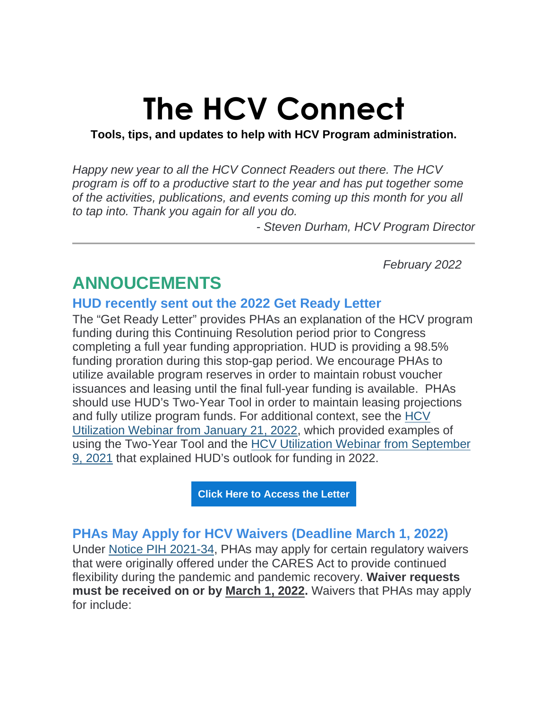# **The HCV Connect**

**Tools, tips, and updates to help with HCV Program administration.** 

*Happy new year to all the HCV Connect Readers out there. The HCV program is off to a productive start to the year and has put together some of the activities, publications, and events coming up this month for you all to tap into. Thank you again for all you do.*

*- Steven Durham, HCV Program Director*

*February 2022* 

# **ANNOUCEMENTS**

## **HUD recently sent out the 2022 Get Ready Letter**

The "Get Ready Letter" provides PHAs an explanation of the HCV program funding during this Continuing Resolution period prior to Congress completing a full year funding appropriation. HUD is providing a 98.5% funding proration during this stop-gap period. We encourage PHAs to utilize available program reserves in order to maintain robust voucher issuances and leasing until the final full-year funding is available. PHAs should use HUD's Two-Year Tool in order to maintain leasing projections and fully utilize program funds. For additional context, see the [HCV](https://lnks.gd/l/eyJhbGciOiJIUzI1NiJ9.eyJidWxsZXRpbl9saW5rX2lkIjoxMDAsInVyaSI6ImJwMjpjbGljayIsImJ1bGxldGluX2lkIjoiMjAyMjAyMDkuNTMxNDU0NzEiLCJ1cmwiOiJodHRwczovL3d3dy55b3V0dWJlLmNvbS93YXRjaD9hcHA9ZGVza3RvcCZmZWF0dXJlPXlvdXR1LmJlJUMyJUEwJnV0bV9tZWRpdW09ZW1haWwmdXRtX3NvdXJjZT1nb3ZkZWxpdmVyeSZ2PUU4SEw1YTJyQ0prIn0.TkmRjrkwPE56EQ_UCTF3C7qthvrlcMmaEQvsP5Gdoyg/s/1129219932/br/126371072110-l)  [Utilization Webinar from January 21, 2022,](https://lnks.gd/l/eyJhbGciOiJIUzI1NiJ9.eyJidWxsZXRpbl9saW5rX2lkIjoxMDAsInVyaSI6ImJwMjpjbGljayIsImJ1bGxldGluX2lkIjoiMjAyMjAyMDkuNTMxNDU0NzEiLCJ1cmwiOiJodHRwczovL3d3dy55b3V0dWJlLmNvbS93YXRjaD9hcHA9ZGVza3RvcCZmZWF0dXJlPXlvdXR1LmJlJUMyJUEwJnV0bV9tZWRpdW09ZW1haWwmdXRtX3NvdXJjZT1nb3ZkZWxpdmVyeSZ2PUU4SEw1YTJyQ0prIn0.TkmRjrkwPE56EQ_UCTF3C7qthvrlcMmaEQvsP5Gdoyg/s/1129219932/br/126371072110-l) which provided examples of using the Two-Year Tool and the [HCV Utilization Webinar from September](https://lnks.gd/l/eyJhbGciOiJIUzI1NiJ9.eyJidWxsZXRpbl9saW5rX2lkIjoxMDEsInVyaSI6ImJwMjpjbGljayIsImJ1bGxldGluX2lkIjoiMjAyMjAyMDkuNTMxNDU0NzEiLCJ1cmwiOiJodHRwczovL3d3dy55b3V0dWJlLmNvbS93YXRjaD9hcHA9ZGVza3RvcCZ1dG1fbWVkaXVtPWVtYWlsJnV0bV9zb3VyY2U9Z292ZGVsaXZlcnkmdj1jZFlDZkdTeFpITSVDMiVBMCJ9.9lIDxhZ7IHZyOP38q5J8_VUBJQAjC1Lfy6X0FZpVlMQ/s/1129219932/br/126371072110-l)  [9, 2021](https://lnks.gd/l/eyJhbGciOiJIUzI1NiJ9.eyJidWxsZXRpbl9saW5rX2lkIjoxMDEsInVyaSI6ImJwMjpjbGljayIsImJ1bGxldGluX2lkIjoiMjAyMjAyMDkuNTMxNDU0NzEiLCJ1cmwiOiJodHRwczovL3d3dy55b3V0dWJlLmNvbS93YXRjaD9hcHA9ZGVza3RvcCZ1dG1fbWVkaXVtPWVtYWlsJnV0bV9zb3VyY2U9Z292ZGVsaXZlcnkmdj1jZFlDZkdTeFpITSVDMiVBMCJ9.9lIDxhZ7IHZyOP38q5J8_VUBJQAjC1Lfy6X0FZpVlMQ/s/1129219932/br/126371072110-l) that explained HUD's outlook for funding in 2022.

**[Click Here to Access the Letter](https://lnks.gd/l/eyJhbGciOiJIUzI1NiJ9.eyJidWxsZXRpbl9saW5rX2lkIjoxMDIsInVyaSI6ImJwMjpjbGljayIsImJ1bGxldGluX2lkIjoiMjAyMjAyMDkuNTMxNDU0NzEiLCJ1cmwiOiJodHRwczovL3d3dy5odWQuZ292L3NpdGVzL2RmaWxlcy9QSUgvZG9jdW1lbnRzL0hDVi1SZW5ld2FsLUZ1bmRpbmctR2V0X1JlYWR5X0xldHRlcjAxMTgyMi5wZGY_dXRtX21lZGl1bT1lbWFpbCZ1dG1fc291cmNlPWdvdmRlbGl2ZXJ5In0.hs0ptmD9ISfFv28OsRnPF9bxSBv_MRC7IiPOZ2Hh3go/s/1129219932/br/126371072110-l)**

# **PHAs May Apply for HCV Waivers (Deadline March 1, 2022)**

Under [Notice PIH 2021-34,](https://lnks.gd/l/eyJhbGciOiJIUzI1NiJ9.eyJidWxsZXRpbl9saW5rX2lkIjoxMDMsInVyaSI6ImJwMjpjbGljayIsImJ1bGxldGluX2lkIjoiMjAyMjAyMDkuNTMxNDU0NzEiLCJ1cmwiOiJodHRwczovL3d3dy5odWQuZ292L3NpdGVzL2RmaWxlcy9PQ0hDTy9kb2N1bWVudHMvMjAyMS0zNHBpaG4ucGRmP3V0bV9tZWRpdW09ZW1haWwmdXRtX3NvdXJjZT1nb3ZkZWxpdmVyeSJ9.eqBwNK5nn3eu8fNvva9xxsh7mQI4lHm5BeRpXXPuKDE/s/1129219932/br/126371072110-l) PHAs may apply for certain regulatory waivers that were originally offered under the CARES Act to provide continued flexibility during the pandemic and pandemic recovery. **Waiver requests must be received on or by March 1, 2022.** Waivers that PHAs may apply for include: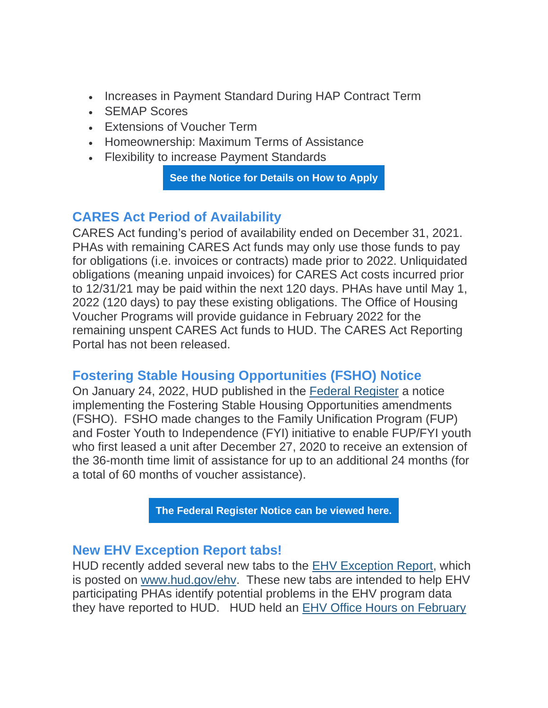- Increases in Payment Standard During HAP Contract Term
- SEMAP Scores
- Extensions of Voucher Term
- Homeownership: Maximum Terms of Assistance
- Flexibility to increase Payment Standards

**[See the Notice for Details on How to Apply](https://lnks.gd/l/eyJhbGciOiJIUzI1NiJ9.eyJidWxsZXRpbl9saW5rX2lkIjoxMDQsInVyaSI6ImJwMjpjbGljayIsImJ1bGxldGluX2lkIjoiMjAyMjAyMDkuNTMxNDU0NzEiLCJ1cmwiOiJodHRwczovL3d3dy5odWQuZ292L3NpdGVzL2RmaWxlcy9PQ0hDTy9kb2N1bWVudHMvMjAyMS0zNHBpaG4ucGRmP3V0bV9tZWRpdW09ZW1haWwmdXRtX3NvdXJjZT1nb3ZkZWxpdmVyeSJ9.w9UOMJN8b0AAjHpv4ymck6WHAzSTed2SGZif9Z9Bqmw/s/1129219932/br/126371072110-l)**

## **CARES Act Period of Availability**

CARES Act funding's period of availability ended on December 31, 2021. PHAs with remaining CARES Act funds may only use those funds to pay for obligations (i.e. invoices or contracts) made prior to 2022. Unliquidated obligations (meaning unpaid invoices) for CARES Act costs incurred prior to 12/31/21 may be paid within the next 120 days. PHAs have until May 1, 2022 (120 days) to pay these existing obligations. The Office of Housing Voucher Programs will provide guidance in February 2022 for the remaining unspent CARES Act funds to HUD. The CARES Act Reporting Portal has not been released.

# **Fostering Stable Housing Opportunities (FSHO) Notice**

On January 24, 2022, HUD published in the [Federal Register](https://lnks.gd/l/eyJhbGciOiJIUzI1NiJ9.eyJidWxsZXRpbl9saW5rX2lkIjoxMDUsInVyaSI6ImJwMjpjbGljayIsImJ1bGxldGluX2lkIjoiMjAyMjAyMDkuNTMxNDU0NzEiLCJ1cmwiOiJodHRwczovL3d3dy5mZWRlcmFscmVnaXN0ZXIuZ292L2RvY3VtZW50cy8yMDIyLzAxLzI0LzIwMjItMDEyODUvaW1wbGVtZW50YXRpb24tb2YtdGhlLWZvc3RlcmluZy1zdGFibGUtaG91c2luZy1vcHBvcnR1bml0aWVzLWFtZW5kbWVudHM_dXRtX21lZGl1bT1lbWFpbCZ1dG1fc291cmNlPWdvdmRlbGl2ZXJ5In0.84lV4dPV4qjUXyXyCvmYX3B3qQ3FhRCpBb6O1EdgJZo/s/1129219932/br/126371072110-l) a notice implementing the Fostering Stable Housing Opportunities amendments (FSHO). FSHO made changes to the Family Unification Program (FUP) and Foster Youth to Independence (FYI) initiative to enable FUP/FYI youth who first leased a unit after December 27, 2020 to receive an extension of the 36-month time limit of assistance for up to an additional 24 months (for a total of 60 months of voucher assistance).

**[The Federal Register Notice can be viewed here.](https://lnks.gd/l/eyJhbGciOiJIUzI1NiJ9.eyJidWxsZXRpbl9saW5rX2lkIjoxMDYsInVyaSI6ImJwMjpjbGljayIsImJ1bGxldGluX2lkIjoiMjAyMjAyMDkuNTMxNDU0NzEiLCJ1cmwiOiJodHRwczovL3d3dy5mZWRlcmFscmVnaXN0ZXIuZ292L2RvY3VtZW50cy8yMDIyLzAxLzI0LzIwMjItMDEyODUvaW1wbGVtZW50YXRpb24tb2YtdGhlLWZvc3RlcmluZy1zdGFibGUtaG91c2luZy1vcHBvcnR1bml0aWVzLWFtZW5kbWVudHM_dXRtX21lZGl1bT1lbWFpbCZ1dG1fc291cmNlPWdvdmRlbGl2ZXJ5In0.g33_7yY8HaoHszL-ful6nK7JZEFz-2OxRcCpLvw3_7E/s/1129219932/br/126371072110-l)**

#### **New EHV Exception Report tabs!**

HUD recently added several new tabs to the [EHV Exception Report,](https://lnks.gd/l/eyJhbGciOiJIUzI1NiJ9.eyJidWxsZXRpbl9saW5rX2lkIjoxMDcsInVyaSI6ImJwMjpjbGljayIsImJ1bGxldGluX2lkIjoiMjAyMjAyMDkuNTMxNDU0NzEiLCJ1cmwiOiJodHRwczovL2FwcC5wb3dlcmJpZ292LnVzL3ZpZXc_cj1leUpySWpvaU5qZGtPVGN3TlRndE5UUmlZeTAwWXpRNExXSXdNMll0TXpkbE5EQmlOVEF6WlRrMElpd2lkQ0k2SWpZeE5UVXlOR00xTFRJeVpUa3ROR0pqWkMxaE9Ea3pMVEV4T0RCaE5UTm1ZemRpTWlKOSZ1dG1fbWVkaXVtPWVtYWlsJnV0bV9zb3VyY2U9Z292ZGVsaXZlcnkifQ.iq3nKuQQ9gAZ-N_J0ELWVzyez828ivruPYfjF7vnjHk/s/1129219932/br/126371072110-l) which is posted on [www.hud.gov/ehv.](https://lnks.gd/l/eyJhbGciOiJIUzI1NiJ9.eyJidWxsZXRpbl9saW5rX2lkIjoxMDgsInVyaSI6ImJwMjpjbGljayIsImJ1bGxldGluX2lkIjoiMjAyMjAyMDkuNTMxNDU0NzEiLCJ1cmwiOiJodHRwOi8vd3d3Lmh1ZC5nb3YvZWh2P3V0bV9tZWRpdW09ZW1haWwmdXRtX3NvdXJjZT1nb3ZkZWxpdmVyeSJ9.SK4c0l_V-pb8Wc5Umln6Y0xv7w2z4SnuuvoFEUnYoXY/s/1129219932/br/126371072110-l) These new tabs are intended to help EHV participating PHAs identify potential problems in the EHV program data they have reported to HUD. HUD held an [EHV Office Hours on February](https://lnks.gd/l/eyJhbGciOiJIUzI1NiJ9.eyJidWxsZXRpbl9saW5rX2lkIjoxMDksInVyaSI6ImJwMjpjbGljayIsImJ1bGxldGluX2lkIjoiMjAyMjAyMDkuNTMxNDU0NzEiLCJ1cmwiOiJodHRwczovL3lvdXR1LmJlL0RXYWgzRTlLbkQ4P3V0bV9tZWRpdW09ZW1haWwmdXRtX3NvdXJjZT1nb3ZkZWxpdmVyeSJ9.9l_w9P2Fesq_yHbTYGxbm2vImFucPShQH8H_nzvCgz0/s/1129219932/br/126371072110-l)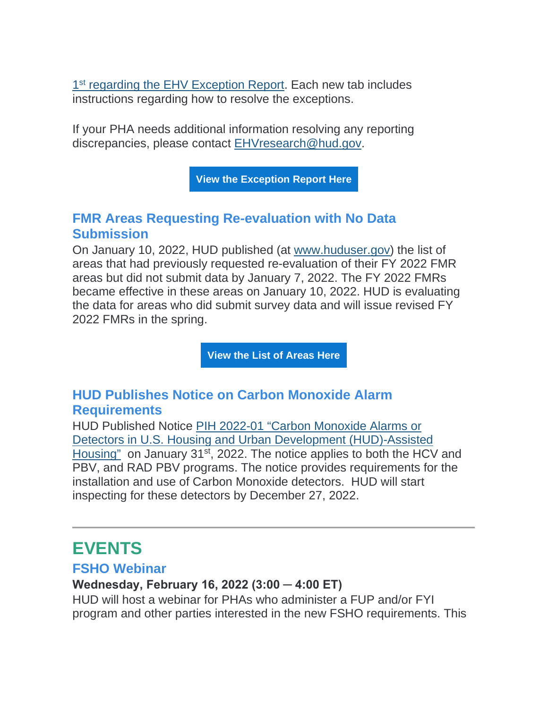1<sup>st</sup> [regarding the EHV Exception Report.](https://lnks.gd/l/eyJhbGciOiJIUzI1NiJ9.eyJidWxsZXRpbl9saW5rX2lkIjoxMDksInVyaSI6ImJwMjpjbGljayIsImJ1bGxldGluX2lkIjoiMjAyMjAyMDkuNTMxNDU0NzEiLCJ1cmwiOiJodHRwczovL3lvdXR1LmJlL0RXYWgzRTlLbkQ4P3V0bV9tZWRpdW09ZW1haWwmdXRtX3NvdXJjZT1nb3ZkZWxpdmVyeSJ9.9l_w9P2Fesq_yHbTYGxbm2vImFucPShQH8H_nzvCgz0/s/1129219932/br/126371072110-l) Each new tab includes instructions regarding how to resolve the exceptions.

If your PHA needs additional information resolving any reporting discrepancies, please contact [EHVresearch@hud.gov.](mailto:EHVresearch@hud.gov)

**[View the Exception Report Here](https://lnks.gd/l/eyJhbGciOiJIUzI1NiJ9.eyJidWxsZXRpbl9saW5rX2lkIjoxMTAsInVyaSI6ImJwMjpjbGljayIsImJ1bGxldGluX2lkIjoiMjAyMjAyMDkuNTMxNDU0NzEiLCJ1cmwiOiJodHRwczovL2FwcC5wb3dlcmJpZ292LnVzL3ZpZXc_cj1leUpySWpvaU5qZGtPVGN3TlRndE5UUmlZeTAwWXpRNExXSXdNMll0TXpkbE5EQmlOVEF6WlRrMElpd2lkQ0k2SWpZeE5UVXlOR00xTFRJeVpUa3ROR0pqWkMxaE9Ea3pMVEV4T0RCaE5UTm1ZemRpTWlKOSZ1dG1fbWVkaXVtPWVtYWlsJnV0bV9zb3VyY2U9Z292ZGVsaXZlcnkifQ.KCPQSq5cqwHwIunidGzpYWqpXw640eSw_two88b6G4U/s/1129219932/br/126371072110-l)**

## **FMR Areas Requesting Re-evaluation with No Data Submission**

On January 10, 2022, HUD published (at [www.huduser.gov\)](https://lnks.gd/l/eyJhbGciOiJIUzI1NiJ9.eyJidWxsZXRpbl9saW5rX2lkIjoxMTEsInVyaSI6ImJwMjpjbGljayIsImJ1bGxldGluX2lkIjoiMjAyMjAyMDkuNTMxNDU0NzEiLCJ1cmwiOiJodHRwczovL3d3dy5odWR1c2VyLmdvdi9wb3J0YWwvaG9tZS5odG1sP3V0bV9tZWRpdW09ZW1haWwmdXRtX3NvdXJjZT1nb3ZkZWxpdmVyeSJ9.AZo9Zv7LYpuPSjj9bX7R5dhmElpuLgn5dK8sztO4Pfo/s/1129219932/br/126371072110-l) the list of areas that had previously requested re-evaluation of their FY 2022 FMR areas but did not submit data by January 7, 2022. The FY 2022 FMRs became effective in these areas on January 10, 2022. HUD is evaluating the data for areas who did submit survey data and will issue revised FY 2022 FMRs in the spring.

**[View the List of Areas Here](https://lnks.gd/l/eyJhbGciOiJIUzI1NiJ9.eyJidWxsZXRpbl9saW5rX2lkIjoxMTIsInVyaSI6ImJwMjpjbGljayIsImJ1bGxldGluX2lkIjoiMjAyMjAyMDkuNTMxNDU0NzEiLCJ1cmwiOiJodHRwczovL3d3dy5odWR1c2VyLmdvdi9wb3J0YWwvZGF0YXNldHMvZm1yL2ZtcjIwMjIvRlktMjAyMi1GTVItQXJlYXMtd2l0aG91dC1SZWV2YWx1YXRpb24tRGF0YS5wZGY_dXRtX21lZGl1bT1lbWFpbCZ1dG1fc291cmNlPWdvdmRlbGl2ZXJ5In0.PuB5DqrUn2RMQEJF9jMiQRvozbxXqWLLh5YSrYLFnAw/s/1129219932/br/126371072110-l)**

## **HUD Publishes Notice on Carbon Monoxide Alarm Requirements**

HUD Published Notice [PIH 2022-01 "Carbon Monoxide Alarms or](https://lnks.gd/l/eyJhbGciOiJIUzI1NiJ9.eyJidWxsZXRpbl9saW5rX2lkIjoxMTMsInVyaSI6ImJwMjpjbGljayIsImJ1bGxldGluX2lkIjoiMjAyMjAyMDkuNTMxNDU0NzEiLCJ1cmwiOiJodHRwczovL3d3dy5odWQuZ292L3NpdGVzL2RmaWxlcy9QSUgvZG9jdW1lbnRzL1BJSDIwMjItMDEucGRmP3V0bV9tZWRpdW09ZW1haWwmdXRtX3NvdXJjZT1nb3ZkZWxpdmVyeSJ9.MgMdnMD-mI657at3_giO2oMBs9b7knD2sbnSnfguQwM/s/1129219932/br/126371072110-l)  [Detectors in U.S. Housing and Urban Development \(HUD\)-Assisted](https://lnks.gd/l/eyJhbGciOiJIUzI1NiJ9.eyJidWxsZXRpbl9saW5rX2lkIjoxMTMsInVyaSI6ImJwMjpjbGljayIsImJ1bGxldGluX2lkIjoiMjAyMjAyMDkuNTMxNDU0NzEiLCJ1cmwiOiJodHRwczovL3d3dy5odWQuZ292L3NpdGVzL2RmaWxlcy9QSUgvZG9jdW1lbnRzL1BJSDIwMjItMDEucGRmP3V0bV9tZWRpdW09ZW1haWwmdXRtX3NvdXJjZT1nb3ZkZWxpdmVyeSJ9.MgMdnMD-mI657at3_giO2oMBs9b7knD2sbnSnfguQwM/s/1129219932/br/126371072110-l)  [Housing"](https://lnks.gd/l/eyJhbGciOiJIUzI1NiJ9.eyJidWxsZXRpbl9saW5rX2lkIjoxMTMsInVyaSI6ImJwMjpjbGljayIsImJ1bGxldGluX2lkIjoiMjAyMjAyMDkuNTMxNDU0NzEiLCJ1cmwiOiJodHRwczovL3d3dy5odWQuZ292L3NpdGVzL2RmaWxlcy9QSUgvZG9jdW1lbnRzL1BJSDIwMjItMDEucGRmP3V0bV9tZWRpdW09ZW1haWwmdXRtX3NvdXJjZT1nb3ZkZWxpdmVyeSJ9.MgMdnMD-mI657at3_giO2oMBs9b7knD2sbnSnfguQwM/s/1129219932/br/126371072110-l) on January 31<sup>st</sup>, 2022. The notice applies to both the HCV and PBV, and RAD PBV programs. The notice provides requirements for the installation and use of Carbon Monoxide detectors. HUD will start inspecting for these detectors by December 27, 2022.

# **EVENTS**

#### **FSHO Webinar**

#### **Wednesday, February 16, 2022 (3:00 ─ 4:00 ET)**

HUD will host a webinar for PHAs who administer a FUP and/or FYI program and other parties interested in the new FSHO requirements. This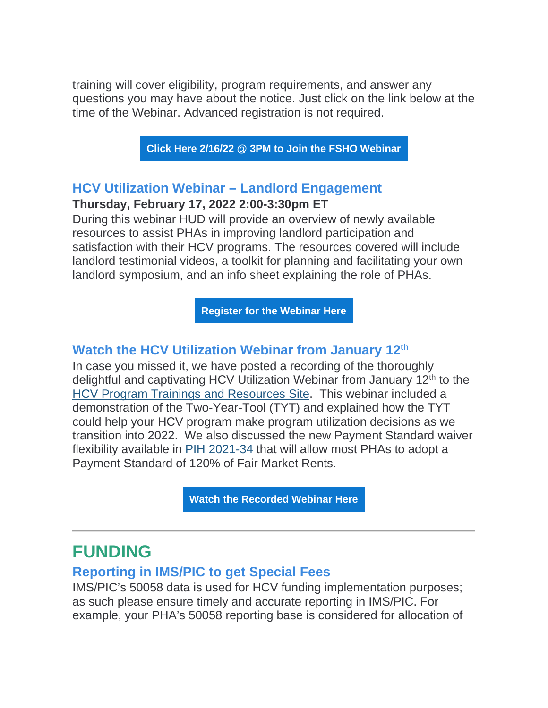training will cover eligibility, program requirements, and answer any questions you may have about the notice. Just click on the link below at the time of the Webinar. Advanced registration is not required.

**[Click Here 2/16/22 @ 3PM to Join the FSHO Webinar](https://lnks.gd/l/eyJhbGciOiJIUzI1NiJ9.eyJidWxsZXRpbl9saW5rX2lkIjoxMTQsInVyaSI6ImJwMjpjbGljayIsImJ1bGxldGluX2lkIjoiMjAyMjAyMDkuNTMxNDU0NzEiLCJ1cmwiOiJodHRwczovL2VtczguaW50ZWxsb3IuY29tL2xvZ2luLzg0MjU0Mj91dG1fbWVkaXVtPWVtYWlsJnV0bV9zb3VyY2U9Z292ZGVsaXZlcnkifQ.w_QhCJ1JKhpgJD0izCfNOdPbKZR-qyMr1_rHt4C2p6Q/s/1129219932/br/126371072110-l)**

## **HCV Utilization Webinar – Landlord Engagement**

### **Thursday, February 17, 2022 2:00-3:30pm ET**

During this webinar HUD will provide an overview of newly available resources to assist PHAs in improving landlord participation and satisfaction with their HCV programs. The resources covered will include landlord testimonial videos, a toolkit for planning and facilitating your own landlord symposium, and an info sheet explaining the role of PHAs.

**[Register for the Webinar Here](https://lnks.gd/l/eyJhbGciOiJIUzI1NiJ9.eyJidWxsZXRpbl9saW5rX2lkIjoxMTUsInVyaSI6ImJwMjpjbGljayIsImJ1bGxldGluX2lkIjoiMjAyMjAyMDkuNTMxNDU0NzEiLCJ1cmwiOiJodHRwczovL2VtczguaW50ZWxsb3IuY29tLz9kbz1yZWdpc3RlciZwPTg0MjQ4MCZ0PTEmdXRtX21lZGl1bT1lbWFpbCZ1dG1fc291cmNlPWdvdmRlbGl2ZXJ5In0.pinQULbFi7kbAZaqjX5I1eEVCZlIzpQrIIyHmGf_O-U/s/1129219932/br/126371072110-l)**

## **Watch the HCV Utilization Webinar from January 12th**

In case you missed it, we have posted a recording of the thoroughly delightful and captivating HCV Utilization Webinar from January 12<sup>th</sup> to the [HCV Program Trainings and Resources Site.](https://lnks.gd/l/eyJhbGciOiJIUzI1NiJ9.eyJidWxsZXRpbl9saW5rX2lkIjoxMTYsInVyaSI6ImJwMjpjbGljayIsImJ1bGxldGluX2lkIjoiMjAyMjAyMDkuNTMxNDU0NzEiLCJ1cmwiOiJodHRwczovL3d3dy5odWQuZ292L3Byb2dyYW1fb2ZmaWNlcy9wdWJsaWNfaW5kaWFuX2hvdXNpbmcvcHJvZ3JhbXMvaGN2L3Byb2dyYW1fdHJhaW5pbmdzX2FuZF9yZXNvdXJjZXM_dXRtX21lZGl1bT1lbWFpbCZ1dG1fc291cmNlPWdvdmRlbGl2ZXJ5In0.eGd2Ic4PJkUu0QU8lctnHEhxs0KpGd_vri7Hvb_2J3k/s/1129219932/br/126371072110-l) This webinar included a demonstration of the Two-Year-Tool (TYT) and explained how the TYT could help your HCV program make program utilization decisions as we transition into 2022. We also discussed the new Payment Standard waiver flexibility available in [PIH 2021-34](https://lnks.gd/l/eyJhbGciOiJIUzI1NiJ9.eyJidWxsZXRpbl9saW5rX2lkIjoxMTcsInVyaSI6ImJwMjpjbGljayIsImJ1bGxldGluX2lkIjoiMjAyMjAyMDkuNTMxNDU0NzEiLCJ1cmwiOiJodHRwczovL3d3dy5odWQuZ292L3NpdGVzL2RmaWxlcy9QSUgvZG9jdW1lbnRzL1BJSDIwMjEtMzQucGRmP3V0bV9tZWRpdW09ZW1haWwmdXRtX3NvdXJjZT1nb3ZkZWxpdmVyeSJ9.VbLvOQCDC9oSdLHEdb7ukNansZQz7L0AB1uQdEgvbYU/s/1129219932/br/126371072110-l) that will allow most PHAs to adopt a Payment Standard of 120% of Fair Market Rents.

**[Watch the Recorded Webinar Here](https://lnks.gd/l/eyJhbGciOiJIUzI1NiJ9.eyJidWxsZXRpbl9saW5rX2lkIjoxMTgsInVyaSI6ImJwMjpjbGljayIsImJ1bGxldGluX2lkIjoiMjAyMjAyMDkuNTMxNDU0NzEiLCJ1cmwiOiJodHRwczovL3d3dy55b3V0dWJlLmNvbS93YXRjaD91dG1fbWVkaXVtPWVtYWlsJnV0bV9zb3VyY2U9Z292ZGVsaXZlcnkmdj11ZENfckUxUnk5ayJ9.ChX1RaLzrkeFHltsJWDmx5mOyhRwZpM8y1-EUwD_DXY/s/1129219932/br/126371072110-l)**

# **FUNDING**

## **Reporting in IMS/PIC to get Special Fees**

IMS/PIC's 50058 data is used for HCV funding implementation purposes; as such please ensure timely and accurate reporting in IMS/PIC. For example, your PHA's 50058 reporting base is considered for allocation of